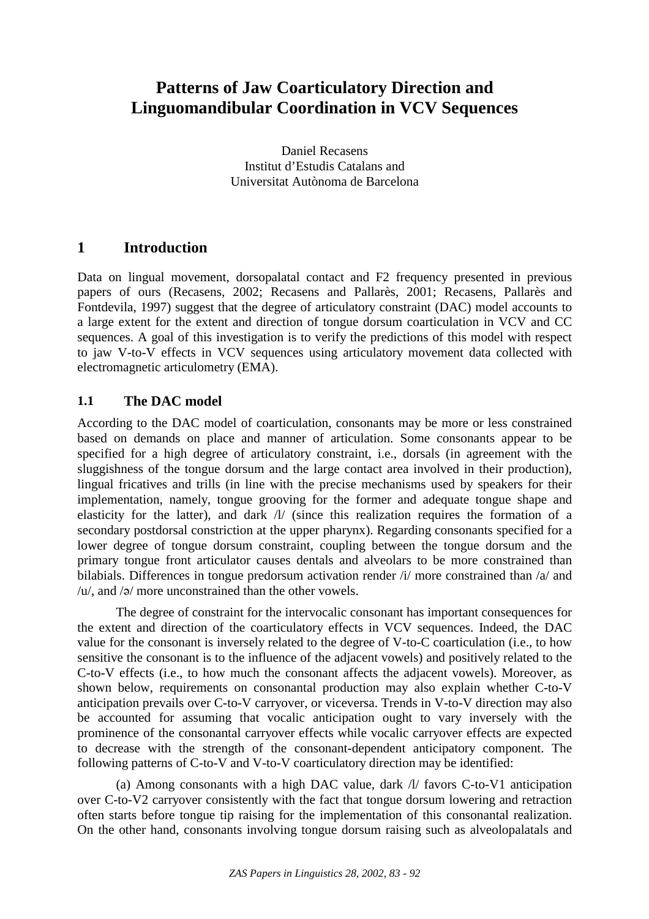# **Patterns of Jaw Coarticulatory Direction and Linguomandibular Coordination in VCV Sequences**

Daniel Recasens Institut d'Estudis Catalans and Universitat Autònoma de Barcelona

# **1 Introduction**

Data on lingual movement, dorsopalatal contact and F2 frequency presented in previous papers of ours (Recasens, 2002; Recasens and Pallarès, 2001; Recasens, Pallarès and Fontdevila, 1997) suggest that the degree of articulatory constraint (DAC) model accounts to a large extent for the extent and direction of tongue dorsum coarticulation in VCV and CC sequences. A goal of this investigation is to verify the predictions of this model with respect to jaw V-to-V effects in VCV sequences using articulatory movement data collected with electromagnetic articulometry (EMA).

## **1.1 The DAC model**

According to the DAC model of coarticulation, consonants may be more or less constrained based on demands on place and manner of articulation. Some consonants appear to be specified for a high degree of articulatory constraint, i.e., dorsals (in agreement with the sluggishness of the tongue dorsum and the large contact area involved in their production), lingual fricatives and trills (in line with the precise mechanisms used by speakers for their implementation, namely, tongue grooving for the former and adequate tongue shape and elasticity for the latter), and dark /l/ (since this realization requires the formation of a secondary postdorsal constriction at the upper pharynx). Regarding consonants specified for a lower degree of tongue dorsum constraint, coupling between the tongue dorsum and the primary tongue front articulator causes dentals and alveolars to be more constrained than bilabials. Differences in tongue predorsum activation render /i/ more constrained than /a/ and / $u$ , and / $\phi$  more unconstrained than the other vowels.

The degree of constraint for the intervocalic consonant has important consequences for the extent and direction of the coarticulatory effects in VCV sequences. Indeed, the DAC value for the consonant is inversely related to the degree of V-to-C coarticulation (i.e., to how sensitive the consonant is to the influence of the adjacent vowels) and positively related to the C-to-V effects (i.e., to how much the consonant affects the adjacent vowels). Moreover, as shown below, requirements on consonantal production may also explain whether C-to-V anticipation prevails over C-to-V carryover, or viceversa. Trends in V-to-V direction may also be accounted for assuming that vocalic anticipation ought to vary inversely with the prominence of the consonantal carryover effects while vocalic carryover effects are expected to decrease with the strength of the consonant-dependent anticipatory component. The following patterns of C-to-V and V-to-V coarticulatory direction may be identified:

(a) Among consonants with a high DAC value, dark /l/ favors C-to-V1 anticipation over C-to-V2 carryover consistently with the fact that tongue dorsum lowering and retraction often starts before tongue tip raising for the implementation of this consonantal realization. On the other hand, consonants involving tongue dorsum raising such as alveolopalatals and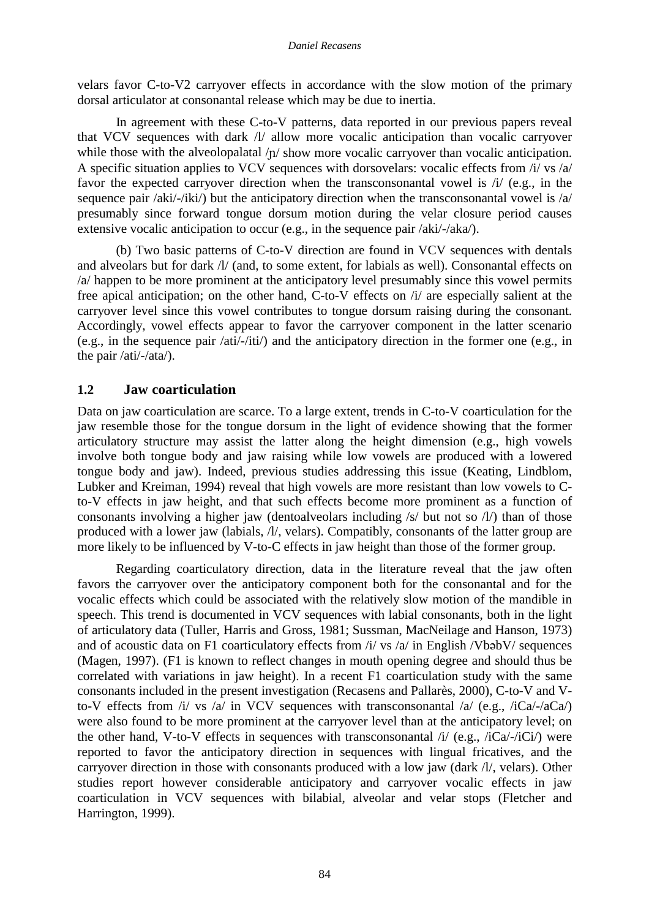velars favor C-to-V2 carryover effects in accordance with the slow motion of the primary dorsal articulator at consonantal release which may be due to inertia.

In agreement with these C-to-V patterns, data reported in our previous papers reveal that VCV sequences with dark /l/ allow more vocalic anticipation than vocalic carryover while those with the alveolopalatal  $/p/$  show more vocalic carryover than vocalic anticipation. A specific situation applies to VCV sequences with dorsovelars: vocalic effects from /i/ vs /a/ favor the expected carryover direction when the transconsonantal vowel is  $\pi/2$  (e.g., in the sequence pair /aki/-/iki/) but the anticipatory direction when the transconsonantal vowel is /a/ presumably since forward tongue dorsum motion during the velar closure period causes extensive vocalic anticipation to occur (e.g., in the sequence pair /aki/-/aka/).

(b) Two basic patterns of C-to-V direction are found in VCV sequences with dentals and alveolars but for dark /l/ (and, to some extent, for labials as well). Consonantal effects on /a/ happen to be more prominent at the anticipatory level presumably since this vowel permits free apical anticipation; on the other hand, C-to-V effects on /i/ are especially salient at the carryover level since this vowel contributes to tongue dorsum raising during the consonant. Accordingly, vowel effects appear to favor the carryover component in the latter scenario (e.g., in the sequence pair /ati/-/iti/) and the anticipatory direction in the former one (e.g., in the pair /ati/-/ata/).

#### **1.2 Jaw coarticulation**

Data on jaw coarticulation are scarce. To a large extent, trends in C-to-V coarticulation for the jaw resemble those for the tongue dorsum in the light of evidence showing that the former articulatory structure may assist the latter along the height dimension (e.g., high vowels involve both tongue body and jaw raising while low vowels are produced with a lowered tongue body and jaw). Indeed, previous studies addressing this issue (Keating, Lindblom, Lubker and Kreiman, 1994) reveal that high vowels are more resistant than low vowels to Cto-V effects in jaw height, and that such effects become more prominent as a function of consonants involving a higher jaw (dentoalveolars including  $\frac{s}{m}$  but not so  $\frac{l}{m}$ ) than of those produced with a lower jaw (labials, /l/, velars). Compatibly, consonants of the latter group are more likely to be influenced by V-to-C effects in jaw height than those of the former group.

Regarding coarticulatory direction, data in the literature reveal that the jaw often favors the carryover over the anticipatory component both for the consonantal and for the vocalic effects which could be associated with the relatively slow motion of the mandible in speech. This trend is documented in VCV sequences with labial consonants, both in the light of articulatory data (Tuller, Harris and Gross, 1981; Sussman, MacNeilage and Hanson, 1973) and of acoustic data on F1 coarticulatory effects from  $\frac{1}{v}$  vs  $\frac{1}{v}$  in English /VbabV/ sequences (Magen, 1997). (F1 is known to reflect changes in mouth opening degree and should thus be correlated with variations in jaw height). In a recent F1 coarticulation study with the same consonants included in the present investigation (Recasens and Pallarès, 2000), C-to-V and Vto-V effects from  $\pi/2$  vs  $\pi/2$  in VCV sequences with transconsonantal  $\pi/2$  (e.g.,  $\pi/2$ -/aCa) were also found to be more prominent at the carryover level than at the anticipatory level; on the other hand, V-to-V effects in sequences with transconsonantal  $i/$  (e.g.,  $\overline{i}$ Ca $\overline{i}$ / $\overline{i}$ Ci $\overline{i}$ ) were reported to favor the anticipatory direction in sequences with lingual fricatives, and the carryover direction in those with consonants produced with a low jaw (dark /l/, velars). Other studies report however considerable anticipatory and carryover vocalic effects in jaw coarticulation in VCV sequences with bilabial, alveolar and velar stops (Fletcher and Harrington, 1999).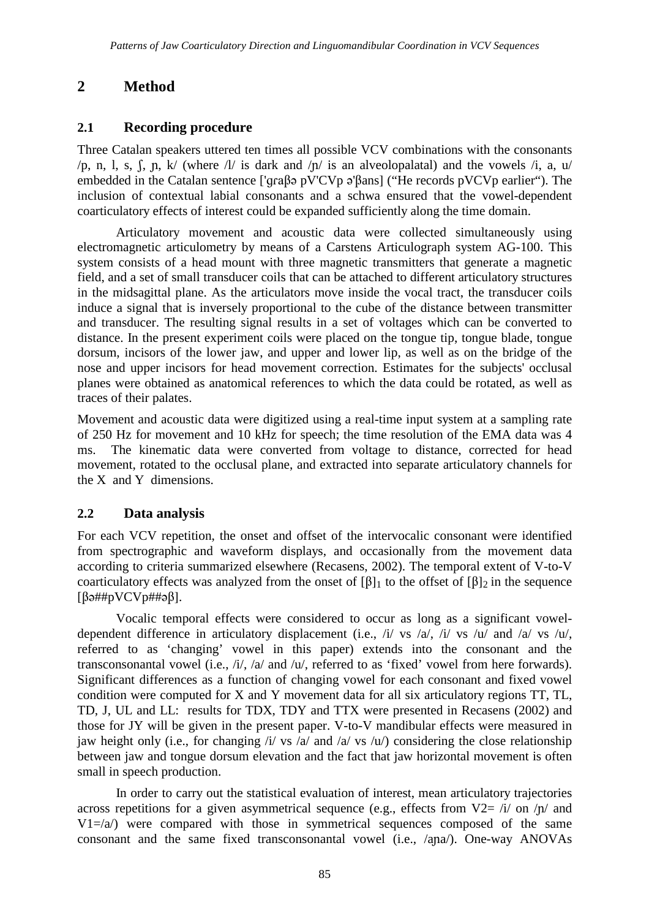# **2 Method**

## **2.1 Recording procedure**

Three Catalan speakers uttered ten times all possible VCV combinations with the consonants /p, n, l, s,  $\int$ ,  $\int$ ,  $\int$ ,  $\int$  (where /l/ is dark and / $\int$ ) is an alveolopalatal) and the vowels /i, a, u/ embedded in the Catalan sentence [' $qra\beta$ ə pV'CVp ə' $\beta$ ans] ("He records pVCVp earlier"). The inclusion of contextual labial consonants and a schwa ensured that the vowel-dependent coarticulatory effects of interest could be expanded sufficiently along the time domain.

Articulatory movement and acoustic data were collected simultaneously using electromagnetic articulometry by means of a Carstens Articulograph system AG-100. This system consists of a head mount with three magnetic transmitters that generate a magnetic field, and a set of small transducer coils that can be attached to different articulatory structures in the midsagittal plane. As the articulators move inside the vocal tract, the transducer coils induce a signal that is inversely proportional to the cube of the distance between transmitter and transducer. The resulting signal results in a set of voltages which can be converted to distance. In the present experiment coils were placed on the tongue tip, tongue blade, tongue dorsum, incisors of the lower jaw, and upper and lower lip, as well as on the bridge of the nose and upper incisors for head movement correction. Estimates for the subjects' occlusal planes were obtained as anatomical references to which the data could be rotated, as well as traces of their palates.

Movement and acoustic data were digitized using a real-time input system at a sampling rate of 250 Hz for movement and 10 kHz for speech; the time resolution of the EMA data was 4 ms. The kinematic data were converted from voltage to distance, corrected for head movement, rotated to the occlusal plane, and extracted into separate articulatory channels for the X and Y dimensions.

### **2.2 Data analysis**

For each VCV repetition, the onset and offset of the intervocalic consonant were identified from spectrographic and waveform displays, and occasionally from the movement data according to criteria summarized elsewhere (Recasens, 2002). The temporal extent of V-to-V coarticulatory effects was analyzed from the onset of  $[\beta]_1$  to the offset of  $[\beta]_2$  in the sequence  $[\beta \rightarrow \# \# pVCVp \# \# \neg \beta].$ 

Vocalic temporal effects were considered to occur as long as a significant voweldependent difference in articulatory displacement (i.e., /i/ vs /a/, /i/ vs /u/ and /a/ vs /u/, referred to as 'changing' vowel in this paper) extends into the consonant and the transconsonantal vowel (i.e., /i/, /a/ and /u/, referred to as 'fixed' vowel from here forwards). Significant differences as a function of changing vowel for each consonant and fixed vowel condition were computed for X and Y movement data for all six articulatory regions TT, TL, TD, J, UL and LL: results for TDX, TDY and TTX were presented in Recasens (2002) and those for JY will be given in the present paper. V-to-V mandibular effects were measured in jaw height only (i.e., for changing  $\pi/$  vs  $\pi/$  and  $\pi/$  vs  $\pi/$ ) considering the close relationship between jaw and tongue dorsum elevation and the fact that jaw horizontal movement is often small in speech production.

In order to carry out the statistical evaluation of interest, mean articulatory trajectories across repetitions for a given asymmetrical sequence (e.g., effects from  $V2 = i/$  on  $/$ n/ and  $V1 = \langle a \rangle$  were compared with those in symmetrical sequences composed of the same consonant and the same fixed transconsonantal vowel (i.e., /ana/). One-way ANOVAs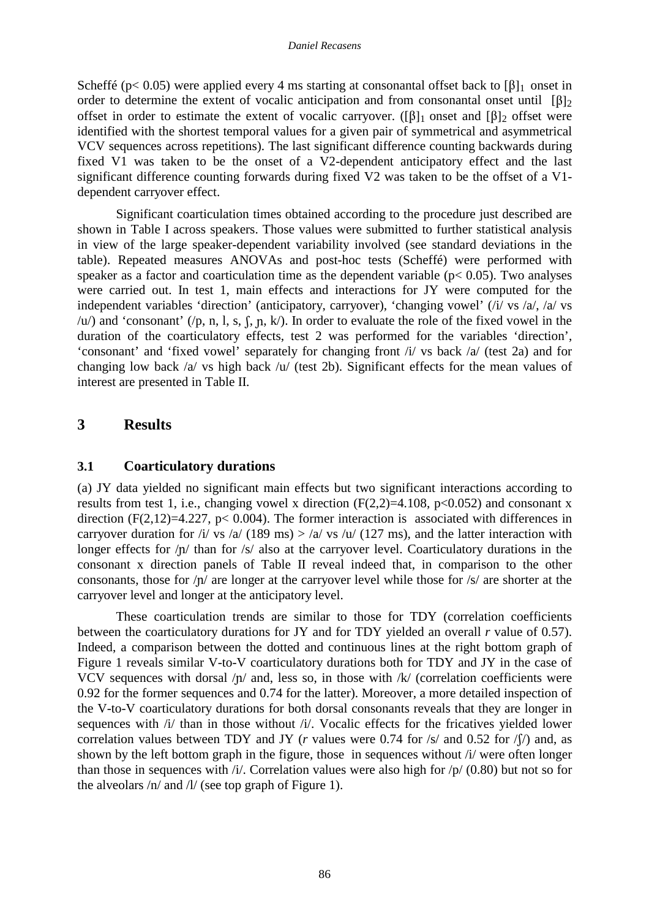Scheffé ( $p < 0.05$ ) were applied every 4 ms starting at consonantal offset back to  $[\beta]_1$  onset in order to determine the extent of vocalic anticipation and from consonantal onset until  $[\beta]_2$ offset in order to estimate the extent of vocalic carryover. ( $[\beta]_1$  onset and  $[\beta]_2$  offset were identified with the shortest temporal values for a given pair of symmetrical and asymmetrical VCV sequences across repetitions). The last significant difference counting backwards during fixed V1 was taken to be the onset of a V2-dependent anticipatory effect and the last significant difference counting forwards during fixed V2 was taken to be the offset of a V1 dependent carryover effect.

Significant coarticulation times obtained according to the procedure just described are shown in Table I across speakers. Those values were submitted to further statistical analysis in view of the large speaker-dependent variability involved (see standard deviations in the table). Repeated measures ANOVAs and post-hoc tests (Scheffé) were performed with speaker as a factor and coarticulation time as the dependent variable ( $p < 0.05$ ). Two analyses were carried out. In test 1, main effects and interactions for JY were computed for the independent variables 'direction' (anticipatory, carryover), 'changing vowel' (/i/ vs /a/, /a/ vs  $\langle u \rangle$  and 'consonant' ( $\langle p, n, l, s, f, p, k \rangle$ ). In order to evaluate the role of the fixed vowel in the duration of the coarticulatory effects, test 2 was performed for the variables 'direction', 'consonant' and 'fixed vowel' separately for changing front /i/ vs back /a/ (test 2a) and for changing low back /a/ vs high back /u/ (test 2b). Significant effects for the mean values of interest are presented in Table II.

# **3 Results**

### **3.1 Coarticulatory durations**

(a) JY data yielded no significant main effects but two significant interactions according to results from test 1, i.e., changing vowel x direction  $(F(2,2)=4.108, p<0.052)$  and consonant x direction  $(F(2,12)=4.227, p< 0.004)$ . The former interaction is associated with differences in carryover duration for /i/ vs /a/ (189 ms) > /a/ vs /u/ (127 ms), and the latter interaction with longer effects for  $/p/$  than for /s/ also at the carryover level. Coarticulatory durations in the consonant x direction panels of Table II reveal indeed that, in comparison to the other consonants, those for  $/\mathbf{n}'$  are longer at the carryover level while those for  $/s/$  are shorter at the carryover level and longer at the anticipatory level.

These coarticulation trends are similar to those for TDY (correlation coefficients between the coarticulatory durations for JY and for TDY yielded an overall *r* value of 0.57). Indeed, a comparison between the dotted and continuous lines at the right bottom graph of Figure 1 reveals similar V-to-V coarticulatory durations both for TDY and JY in the case of VCV sequences with dorsal  $/p/$  and, less so, in those with  $/k/$  (correlation coefficients were 0.92 for the former sequences and 0.74 for the latter). Moreover, a more detailed inspection of the V-to-V coarticulatory durations for both dorsal consonants reveals that they are longer in sequences with /i/ than in those without /i/. Vocalic effects for the fricatives yielded lower correlation values between TDY and JY ( $r$  values were 0.74 for  $\sqrt{s}$  and 0.52 for  $\sqrt{\sqrt{s}}$ ) and, as shown by the left bottom graph in the figure, those in sequences without /i/ were often longer than those in sequences with  $\pi/2$ . Correlation values were also high for  $\pi/2$  (0.80) but not so for the alveolars /n/ and /l/ (see top graph of Figure 1).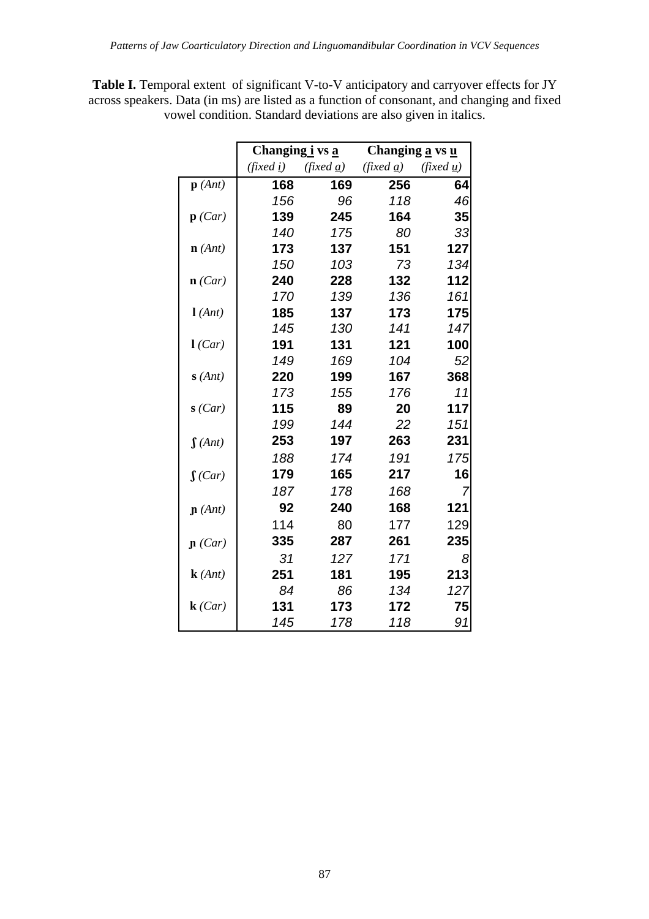**Table I.** Temporal extent of significant V-to-V anticipatory and carryover effects for JY across speakers. Data (in ms) are listed as a function of consonant, and changing and fixed vowel condition. Standard deviations are also given in italics.

|                    | Changing i vs a   |                          | Changing a vs u                 |                          |
|--------------------|-------------------|--------------------------|---------------------------------|--------------------------|
|                    | (fixed <u>i</u> ) | (fixed $\underline{a}$ ) | $(\text{fixed } \underline{a})$ | (fixed $\underline{u}$ ) |
| $\mathbf{p}$ (Ant) | 168               | 169                      | 256                             | 64                       |
|                    | 156               | 96                       | 118                             | 46                       |
| $\mathbf{p}$ (Car) | 139               | 245                      | 164                             | 35                       |
|                    | 140               | 175                      | 80                              | 33                       |
| $\mathbf{n}$ (Ant) | 173               | 137                      | 151                             | 127                      |
|                    | 150               | 103                      | 73                              | 134                      |
| $\mathbf{n}$ (Car) | 240               | 228                      | 132                             | 112                      |
|                    | 170               | 139                      | 136                             | 161                      |
| l(Ant)             | 185               | 137                      | 173                             | 175                      |
|                    | 145               | 130                      | 141                             | 147                      |
| l(Car)             | 191               | 131                      | 121                             | 100                      |
|                    | 149               | 169                      | 104                             | 52                       |
| s(Ant)             | 220               | 199                      | 167                             | 368                      |
|                    | 173               | 155                      | 176                             | 11                       |
| s(Car)             | 115               | 89                       | 20                              | 117                      |
|                    | 199               | 144                      | 22                              | 151                      |
| $\int (Ant)$       | 253               | 197                      | 263                             | 231                      |
|                    | 188               | 174                      | 191                             | 175                      |
| $\int (Car)$       | 179               | 165                      | 217                             | 16                       |
|                    | 187               | 178                      | 168                             | 7                        |
| $\mathbf{n}$ (Ant) | 92                | 240                      | 168                             | 121                      |
|                    | 114               | 80                       | 177                             | 129                      |
| $\mathbf{p}$ (Car) | 335               | 287                      | 261                             | 235                      |
|                    | 31                | 127                      | 171                             | 8                        |
| $\mathbf{k}(Ant)$  | 251               | 181                      | 195                             | 213                      |
|                    | 84                | 86                       | 134                             | 127                      |
| k(Car)             | 131               | 173                      | 172                             | 75                       |
|                    | 145               | 178                      | 118                             | 91                       |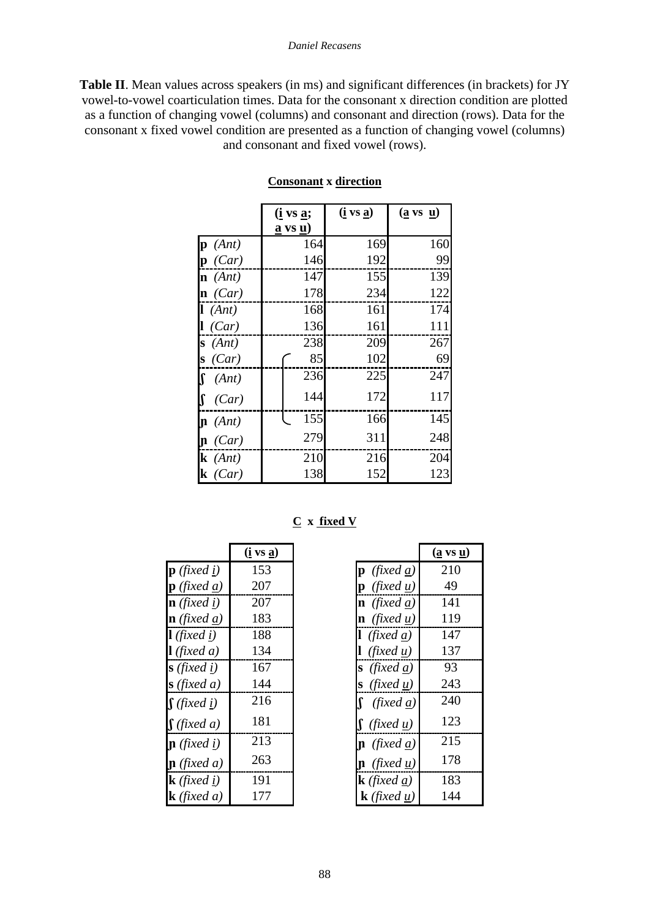**Table II**. Mean values across speakers (in ms) and significant differences (in brackets) for JY vowel-to-vowel coarticulation times. Data for the consonant x direction condition are plotted as a function of changing vowel (columns) and consonant and direction (rows). Data for the consonant x fixed vowel condition are presented as a function of changing vowel (columns) and consonant and fixed vowel (rows).

|                    | <u>(i vs a;</u>                      | $(i \text{ vs } a)$ | $(\underline{a} \text{ vs } \underline{u})$ |
|--------------------|--------------------------------------|---------------------|---------------------------------------------|
|                    | $\underline{a}$ vs $\underline{u}$ ) |                     |                                             |
| $\mathbf{p}$ (Ant) | 164                                  | 169                 | 160                                         |
| $\mathbf{p}$ (Car) | 146                                  | 192                 | 99                                          |
| $\mathbf{n}$ (Ant) | 147                                  | 155                 | 139                                         |
| $\mathbf{n}$ (Car) | 178                                  | 234                 | 122                                         |
| l(Ant)             | 168                                  | 161                 | 174                                         |
| 1 (Car)            | 136                                  | 161                 | 111                                         |
| (Ant)<br>S         | 238                                  | 209                 | 267                                         |
| (Car)<br>S         | 85                                   | 102                 | 69                                          |
| (Ant)              | 236                                  | 225                 | 247                                         |
| (Car)              | 144                                  | 172                 | 117                                         |
| $\mathbf{n}$ (Ant) | 155                                  | 166                 | 145                                         |
| $\mathbf{p}$ (Car) | 279                                  | 311                 | 248                                         |
| $k$ (Ant)          | 210                                  | 216                 | 204                                         |
| $k$ (Car)          | 138                                  | 152                 | 123                                         |

#### **Consonant x direction**

**C x fixed V**

|                                | $(i \text{ vs } a)$ |                                | ( <u>a</u> vs <u>u</u> |
|--------------------------------|---------------------|--------------------------------|------------------------|
| $\mathbf{p}$ (fixed i)         | 153                 | $\mathbf{p}$ (fixed a)         | 210                    |
| $\mathbf{p}$ (fixed a)         | 207                 | $\mathbf{p}$ (fixed u)         | 49                     |
| $\mathbf{n}$ (fixed i)         | 207                 | <b>n</b> (fixed a)             | 141                    |
| $\mathbf{n}$ (fixed <u>a</u> ) | 183                 | $\mathbf{n}$ (fixed <u>u</u> ) | 119                    |
| $\mathbf{l}$ (fixed i)         | 188                 | <b>l</b> (fixed a)             | 147                    |
| $\mathbf{l}$ (fixed a)         | 134                 | $(\text{fixed } u)$            | 137                    |
| $s$ (fixed i)                  | 167                 | $\mathbf{s}$ (fixed a)         | 93                     |
| $\bf{s}$ (fixed a)             | 144                 | <b>s</b> (fixed $\mu$ )        | 243                    |
| $\int$ (fixed i)               | 216                 | (fixed a)                      | 240                    |
| $\int$ (fixed a)               | 181                 | $\int$ (fixed <u>u</u> )       | 123                    |
| $\mathbf{p}$ (fixed <u>i</u> ) | 213                 | $\ln$ (fixed <u>a</u> )        | 215                    |
| $\mathbf{p}$ (fixed a)         | 263                 | $\mathbf{n}$ (fixed <u>u</u> ) | 178                    |
| $k$ (fixed i)                  | 191                 | <b>k</b> (fixed a)             | 183                    |
| <b>k</b> (fixed a)             | 177                 | $\bf{k}$ (fixed u)             | 144                    |

| $(i \text{ vs } a)$ |                                | $(\underline{a} \text{ vs } \underline{u})$ |
|---------------------|--------------------------------|---------------------------------------------|
| 153                 | $\mathbf{p}$ (fixed a)         | 210                                         |
| 207                 | $\mathbf{p}$ (fixed u)         | 49                                          |
| 207                 | $\mathbf{n}$ (fixed a)         | 141                                         |
| 183                 | $\mathbf{n}$ (fixed u)         | 119                                         |
| 188                 | $(\text{fixed } a)$            | 147                                         |
| 134                 | (fixedu)                       | 137                                         |
| 167                 | $\bf{s}$ (fixed a)             | 93                                          |
| 144                 | $(\text{fixed } u)$<br>S       | 243                                         |
| 216                 | (fixed $\underline{a}$ )       | 240                                         |
| 181                 | $\int$ (fixed <u>u</u> )       | 123                                         |
| 213                 | $\mathbf{n}$ (fixed <u>a</u> ) | 215                                         |
| 263                 | $\mathbf{n}$ (fixed <u>u</u> ) | 178                                         |
| 191                 | <b>k</b> (fixed a)             | 183                                         |
| 177                 | <b>k</b> (fixed $u$ )          | 144                                         |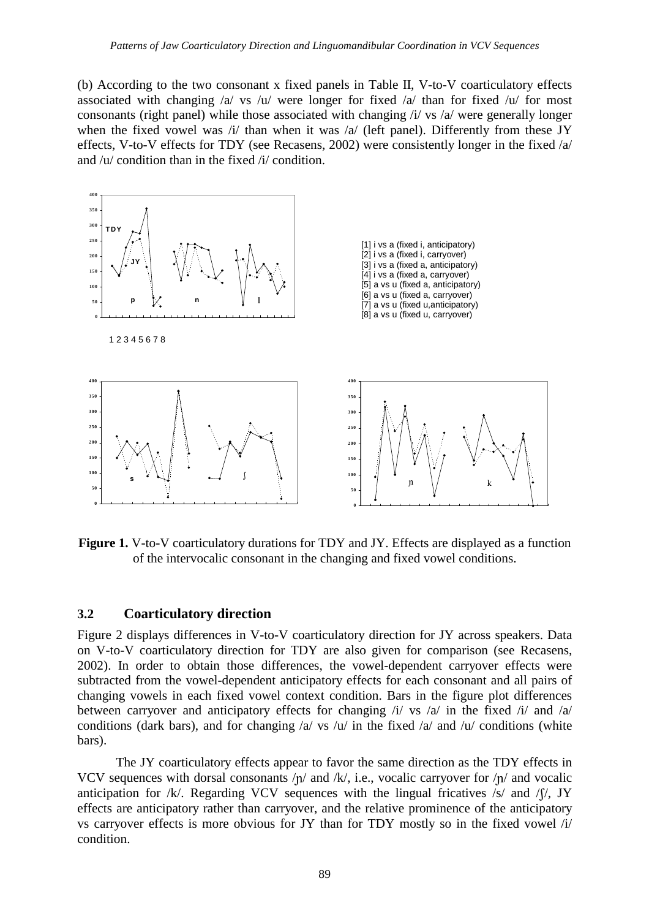(b) According to the two consonant x fixed panels in Table II, V-to-V coarticulatory effects associated with changing  $\alpha$  vs  $\alpha$  were longer for fixed  $\alpha$  than for fixed  $\alpha$  for most consonants (right panel) while those associated with changing /i/ vs /a/ were generally longer when the fixed vowel was /i/ than when it was /a/ (left panel). Differently from these JY effects, V-to-V effects for TDY (see Recasens, 2002) were consistently longer in the fixed /a/ and /u/ condition than in the fixed /i/ condition.



Figure 1. V-to-V coarticulatory durations for TDY and JY. Effects are displayed as a function of the intervocalic consonant in the changing and fixed vowel conditions.

#### **3.2 Coarticulatory direction**

Figure 2 displays differences in V-to-V coarticulatory direction for JY across speakers. Data on V-to-V coarticulatory direction for TDY are also given for comparison (see Recasens, 2002). In order to obtain those differences, the vowel-dependent carryover effects were subtracted from the vowel-dependent anticipatory effects for each consonant and all pairs of changing vowels in each fixed vowel context condition. Bars in the figure plot differences between carryover and anticipatory effects for changing /i/ vs /a/ in the fixed /i/ and /a/ conditions (dark bars), and for changing  $\alpha$  vs  $\alpha$  in the fixed  $\alpha$  and  $\alpha$  conditions (white bars).

The JY coarticulatory effects appear to favor the same direction as the TDY effects in VCV sequences with dorsal consonants  $/p/$  and  $/k/$ , i.e., vocalic carryover for  $/p/$  and vocalic anticipation for /k/. Regarding VCV sequences with the lingual fricatives /s/ and / $\int$ /, JY effects are anticipatory rather than carryover, and the relative prominence of the anticipatory vs carryover effects is more obvious for JY than for TDY mostly so in the fixed vowel  $/i$ condition.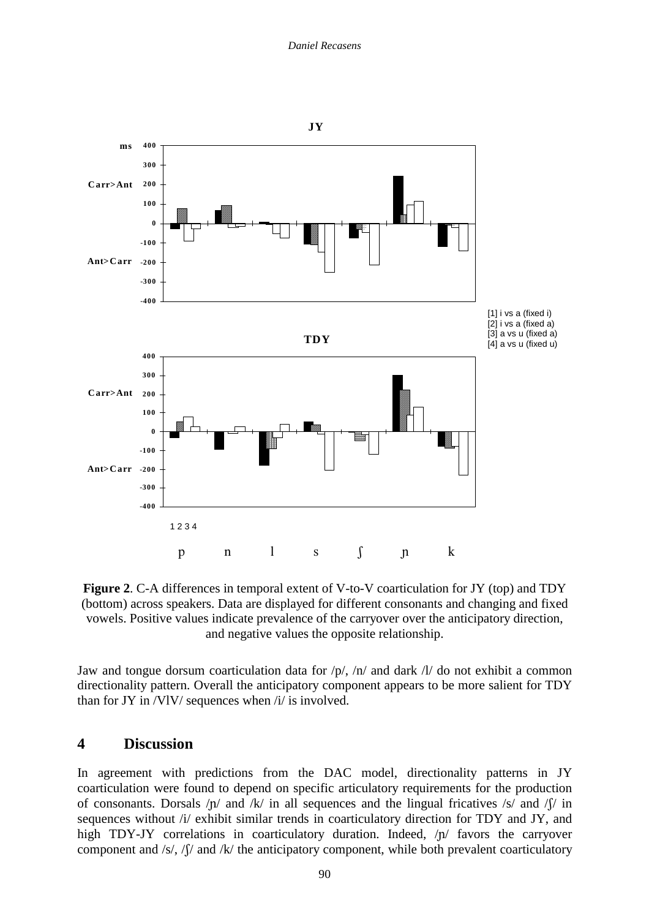

**Figure 2**. C-A differences in temporal extent of V-to-V coarticulation for JY (top) and TDY (bottom) across speakers. Data are displayed for different consonants and changing and fixed vowels. Positive values indicate prevalence of the carryover over the anticipatory direction, and negative values the opposite relationship.

Jaw and tongue dorsum coarticulation data for  $/p/$ ,  $/n/$  and dark  $/l/$  do not exhibit a common directionality pattern. Overall the anticipatory component appears to be more salient for TDY than for JY in /VlV/ sequences when /i/ is involved.

### **4 Discussion**

In agreement with predictions from the DAC model, directionality patterns in JY coarticulation were found to depend on specific articulatory requirements for the production of consonants. Dorsals  $/p/$  and  $/k/$  in all sequences and the lingual fricatives  $/s/$  and  $\sqrt{s}/$  in sequences without /i/ exhibit similar trends in coarticulatory direction for TDY and JY, and high TDY-JY correlations in coarticulatory duration. Indeed,  $/p/$  favors the carryover component and /s/,  $\int \int$  and /k/ the anticipatory component, while both prevalent coarticulatory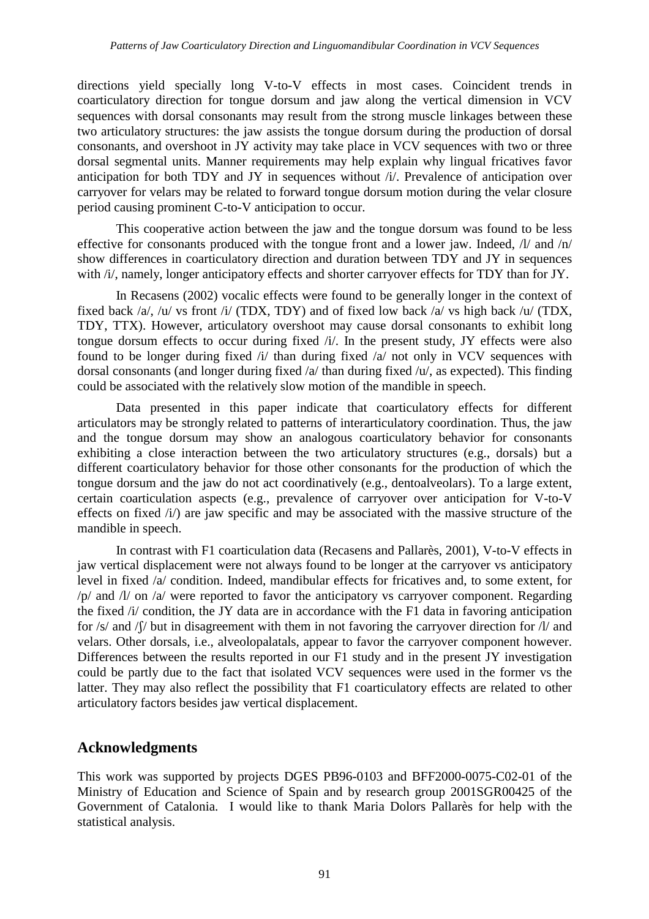directions yield specially long V-to-V effects in most cases. Coincident trends in coarticulatory direction for tongue dorsum and jaw along the vertical dimension in VCV sequences with dorsal consonants may result from the strong muscle linkages between these two articulatory structures: the jaw assists the tongue dorsum during the production of dorsal consonants, and overshoot in JY activity may take place in VCV sequences with two or three dorsal segmental units. Manner requirements may help explain why lingual fricatives favor anticipation for both TDY and JY in sequences without /i/. Prevalence of anticipation over carryover for velars may be related to forward tongue dorsum motion during the velar closure period causing prominent C-to-V anticipation to occur.

This cooperative action between the jaw and the tongue dorsum was found to be less effective for consonants produced with the tongue front and a lower jaw. Indeed, /l/ and /n/ show differences in coarticulatory direction and duration between TDY and JY in sequences with /i/, namely, longer anticipatory effects and shorter carryover effects for TDY than for JY.

In Recasens (2002) vocalic effects were found to be generally longer in the context of fixed back /a/, /u/ vs front /i/ (TDX, TDY) and of fixed low back /a/ vs high back /u/ (TDX, TDY, TTX). However, articulatory overshoot may cause dorsal consonants to exhibit long tongue dorsum effects to occur during fixed /i/. In the present study, JY effects were also found to be longer during fixed /i/ than during fixed /a/ not only in VCV sequences with dorsal consonants (and longer during fixed /a/ than during fixed /u/, as expected). This finding could be associated with the relatively slow motion of the mandible in speech.

Data presented in this paper indicate that coarticulatory effects for different articulators may be strongly related to patterns of interarticulatory coordination. Thus, the jaw and the tongue dorsum may show an analogous coarticulatory behavior for consonants exhibiting a close interaction between the two articulatory structures (e.g., dorsals) but a different coarticulatory behavior for those other consonants for the production of which the tongue dorsum and the jaw do not act coordinatively (e.g., dentoalveolars). To a large extent, certain coarticulation aspects (e.g., prevalence of carryover over anticipation for V-to-V effects on fixed /i/) are jaw specific and may be associated with the massive structure of the mandible in speech.

In contrast with F1 coarticulation data (Recasens and Pallarès, 2001), V-to-V effects in jaw vertical displacement were not always found to be longer at the carryover vs anticipatory level in fixed /a/ condition. Indeed, mandibular effects for fricatives and, to some extent, for  $/p$  and  $/l$  on  $/a$  were reported to favor the anticipatory vs carryover component. Regarding the fixed /i/ condition, the JY data are in accordance with the F1 data in favoring anticipation for  $\frac{s}{n}$  and  $\frac{s}{n}$  but in disagreement with them in not favoring the carryover direction for  $\frac{s}{n}$  and velars. Other dorsals, i.e., alveolopalatals, appear to favor the carryover component however. Differences between the results reported in our F1 study and in the present JY investigation could be partly due to the fact that isolated VCV sequences were used in the former vs the latter. They may also reflect the possibility that F1 coarticulatory effects are related to other articulatory factors besides jaw vertical displacement.

# **Acknowledgments**

This work was supported by projects DGES PB96-0103 and BFF2000-0075-C02-01 of the Ministry of Education and Science of Spain and by research group 2001SGR00425 of the Government of Catalonia. I would like to thank Maria Dolors Pallarès for help with the statistical analysis.